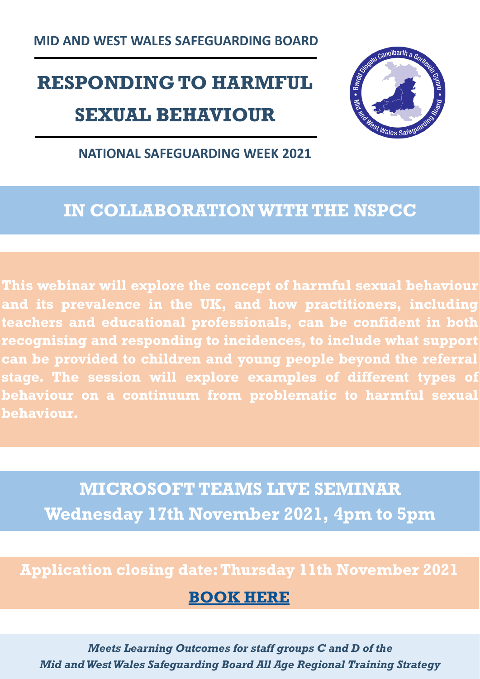**MID AND WEST WALES SAFEGUARDING BOARD**

## **RESPONDING TO HARMFUL SEXUAL BEHAVIOUR**



#### **NATIONAL SAFEGUARDING WEEK 2021**

### **IN COLLABORATION WITH THE NSPCC**

**This webinar will explore the concept of harmful sexual behaviour and its prevalence in the UK, and how practitioners, including teachers and educational professionals, can be confident in both recognising and responding to incidences, to include what support can be provided to children and young people beyond the referral stage. The session will explore examples of different types of behaviour on a continuum from problematic to harmful sexual behaviour.** 

**MICROSOFT TEAMS LIVE SEMINAR Wednesday 17th November 2021, 4pm to 5pm**

#### **Application closing date: Thursday 11th November 2021**

#### **[BOOK HERE](https://docs.google.com/forms/d/e/1FAIpQLSeze_oSK8XGzZZZCr7ox8_LMDwImv3eJWd6yHzz-YJ9v7Nmhw/viewform?usp=sf_link)**

*Meets Learning Outcomes for staff groups C and D of the Mid and West Wales Safeguarding Board All Age Regional Training Strategy*